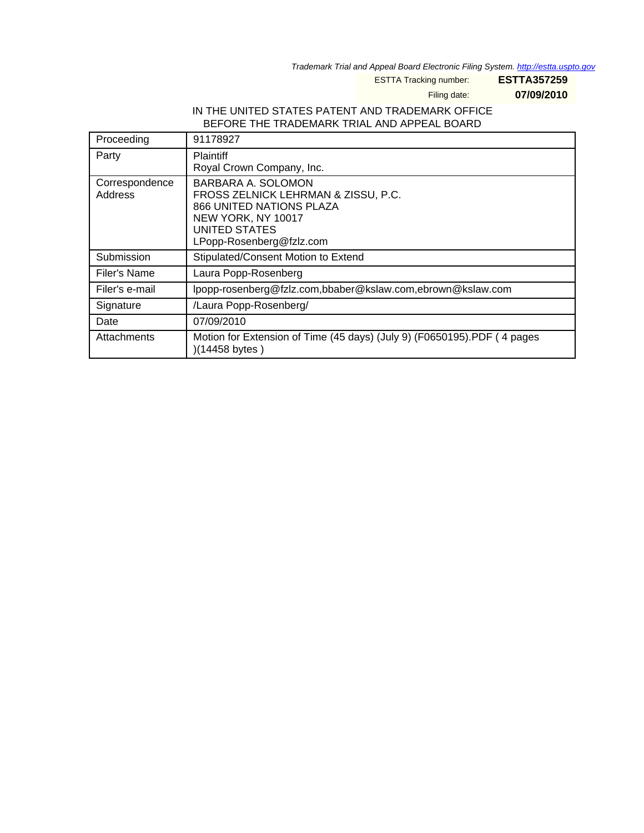Trademark Trial and Appeal Board Electronic Filing System. <http://estta.uspto.gov>

ESTTA Tracking number: **ESTTA357259**

Filing date: **07/09/2010**

## IN THE UNITED STATES PATENT AND TRADEMARK OFFICE BEFORE THE TRADEMARK TRIAL AND APPEAL BOARD

| Proceeding                | 91178927                                                                                                                                                        |
|---------------------------|-----------------------------------------------------------------------------------------------------------------------------------------------------------------|
| Party                     | <b>Plaintiff</b><br>Royal Crown Company, Inc.                                                                                                                   |
| Correspondence<br>Address | BARBARA A. SOLOMON<br>FROSS ZELNICK LEHRMAN & ZISSU, P.C.<br>866 UNITED NATIONS PLAZA<br>NEW YORK, NY 10017<br><b>UNITED STATES</b><br>LPopp-Rosenberg@fzlz.com |
| Submission                | Stipulated/Consent Motion to Extend                                                                                                                             |
| Filer's Name              | Laura Popp-Rosenberg                                                                                                                                            |
| Filer's e-mail            | lpopp-rosenberg@fzlz.com,bbaber@kslaw.com,ebrown@kslaw.com                                                                                                      |
| Signature                 | /Laura Popp-Rosenberg/                                                                                                                                          |
| Date                      | 07/09/2010                                                                                                                                                      |
| Attachments               | Motion for Extension of Time (45 days) (July 9) (F0650195).PDF (4 pages<br>$(14458 \text{ bytes})$                                                              |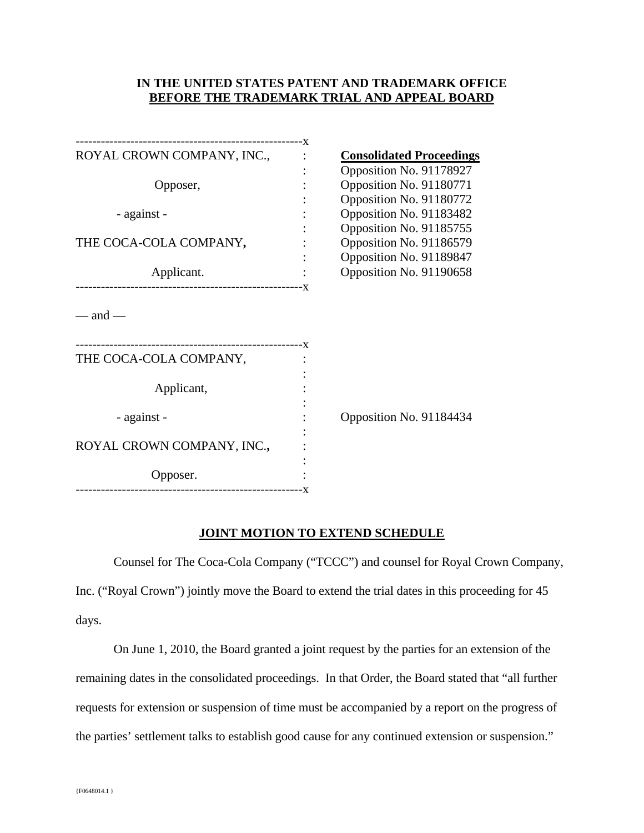## **IN THE UNITED STATES PATENT AND TRADEMARK OFFICE BEFORE THE TRADEMARK TRIAL AND APPEAL BOARD**

| ROYAL CROWN COMPANY, INC.,     | <b>Consolidated Proceedings</b> |
|--------------------------------|---------------------------------|
|                                | Opposition No. 91178927         |
| Opposer,                       | Opposition No. 91180771         |
|                                | Opposition No. 91180772         |
| - against -                    | Opposition No. 91183482         |
|                                | Opposition No. 91185755         |
| THE COCA-COLA COMPANY,         | Opposition No. 91186579         |
|                                | Opposition No. 91189847         |
| Applicant.                     | Opposition No. 91190658         |
| $-$ and $-$                    |                                 |
| THE COCA-COLA COMPANY,         |                                 |
| Applicant,                     |                                 |
| - against -                    | Opposition No. 91184434         |
|                                |                                 |
| ROYAL CROWN COMPANY, INC.,     |                                 |
|                                |                                 |
| Opposer.                       |                                 |
| -----------------------------X |                                 |

## **JOINT MOTION TO EXTEND SCHEDULE**

Counsel for The Coca-Cola Company ("TCCC") and counsel for Royal Crown Company, Inc. ("Royal Crown") jointly move the Board to extend the trial dates in this proceeding for 45 days.

On June 1, 2010, the Board granted a joint request by the parties for an extension of the remaining dates in the consolidated proceedings. In that Order, the Board stated that "all further requests for extension or suspension of time must be accompanied by a report on the progress of the parties' settlement talks to establish good cause for any continued extension or suspension."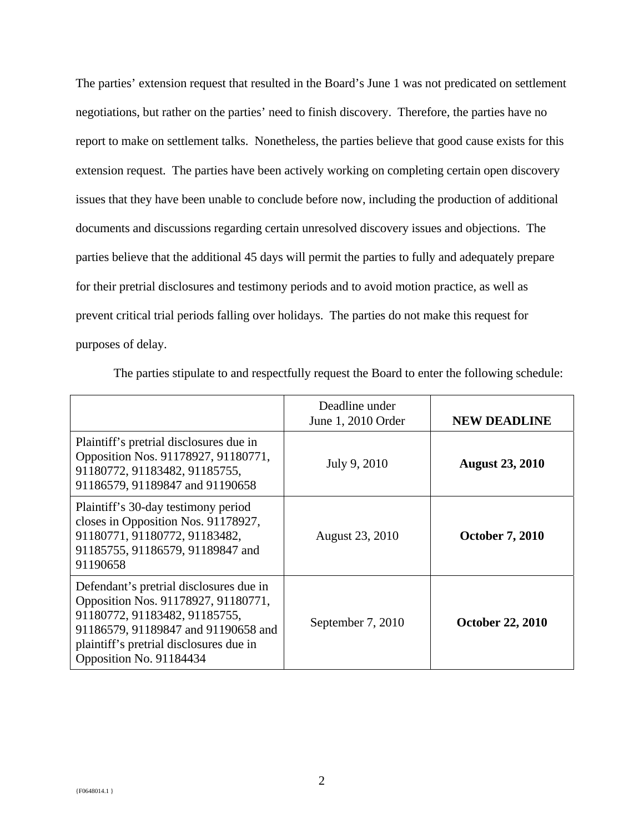The parties' extension request that resulted in the Board's June 1 was not predicated on settlement negotiations, but rather on the parties' need to finish discovery. Therefore, the parties have no report to make on settlement talks. Nonetheless, the parties believe that good cause exists for this extension request. The parties have been actively working on completing certain open discovery issues that they have been unable to conclude before now, including the production of additional documents and discussions regarding certain unresolved discovery issues and objections. The parties believe that the additional 45 days will permit the parties to fully and adequately prepare for their pretrial disclosures and testimony periods and to avoid motion practice, as well as prevent critical trial periods falling over holidays. The parties do not make this request for purposes of delay.

|                                                                                                                                                                                                                              | Deadline under<br>June 1, 2010 Order | <b>NEW DEADLINE</b>     |
|------------------------------------------------------------------------------------------------------------------------------------------------------------------------------------------------------------------------------|--------------------------------------|-------------------------|
| Plaintiff's pretrial disclosures due in<br>Opposition Nos. 91178927, 91180771,<br>91180772, 91183482, 91185755,<br>91186579, 91189847 and 91190658                                                                           | July 9, 2010                         | <b>August 23, 2010</b>  |
| Plaintiff's 30-day testimony period<br>closes in Opposition Nos. 91178927,<br>91180771, 91180772, 91183482,<br>91185755, 91186579, 91189847 and<br>91190658                                                                  | August 23, 2010                      | <b>October 7, 2010</b>  |
| Defendant's pretrial disclosures due in<br>Opposition Nos. 91178927, 91180771,<br>91180772, 91183482, 91185755,<br>91186579, 91189847 and 91190658 and<br>plaintiff's pretrial disclosures due in<br>Opposition No. 91184434 | September 7, 2010                    | <b>October 22, 2010</b> |

The parties stipulate to and respectfully request the Board to enter the following schedule: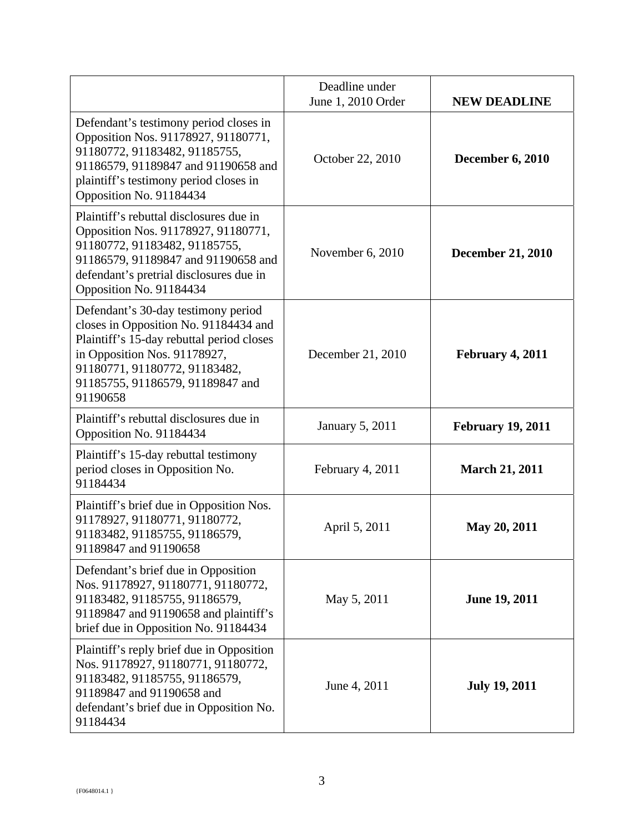|                                                                                                                                                                                                                                            | Deadline under<br>June 1, 2010 Order | <b>NEW DEADLINE</b>      |
|--------------------------------------------------------------------------------------------------------------------------------------------------------------------------------------------------------------------------------------------|--------------------------------------|--------------------------|
| Defendant's testimony period closes in<br>Opposition Nos. 91178927, 91180771,<br>91180772, 91183482, 91185755,<br>91186579, 91189847 and 91190658 and<br>plaintiff's testimony period closes in<br>Opposition No. 91184434                 | October 22, 2010                     | <b>December 6, 2010</b>  |
| Plaintiff's rebuttal disclosures due in<br>Opposition Nos. 91178927, 91180771,<br>91180772, 91183482, 91185755,<br>91186579, 91189847 and 91190658 and<br>defendant's pretrial disclosures due in<br>Opposition No. 91184434               | November 6, 2010                     | <b>December 21, 2010</b> |
| Defendant's 30-day testimony period<br>closes in Opposition No. 91184434 and<br>Plaintiff's 15-day rebuttal period closes<br>in Opposition Nos. 91178927,<br>91180771, 91180772, 91183482,<br>91185755, 91186579, 91189847 and<br>91190658 | December 21, 2010                    | February 4, 2011         |
| Plaintiff's rebuttal disclosures due in<br>Opposition No. 91184434                                                                                                                                                                         | <b>January 5, 2011</b>               | <b>February 19, 2011</b> |
| Plaintiff's 15-day rebuttal testimony<br>period closes in Opposition No.<br>91184434                                                                                                                                                       | February 4, 2011                     | <b>March 21, 2011</b>    |
| Plaintiff's brief due in Opposition Nos.<br>91178927, 91180771, 91180772,<br>91183482, 91185755, 91186579,<br>91189847 and 91190658                                                                                                        | April 5, 2011                        | May 20, 2011             |
| Defendant's brief due in Opposition<br>Nos. 91178927, 91180771, 91180772,<br>91183482, 91185755, 91186579,<br>91189847 and 91190658 and plaintiff's<br>brief due in Opposition No. 91184434                                                | May 5, 2011                          | <b>June 19, 2011</b>     |
| Plaintiff's reply brief due in Opposition<br>Nos. 91178927, 91180771, 91180772,<br>91183482, 91185755, 91186579,<br>91189847 and 91190658 and<br>defendant's brief due in Opposition No.<br>91184434                                       | June 4, 2011                         | <b>July 19, 2011</b>     |